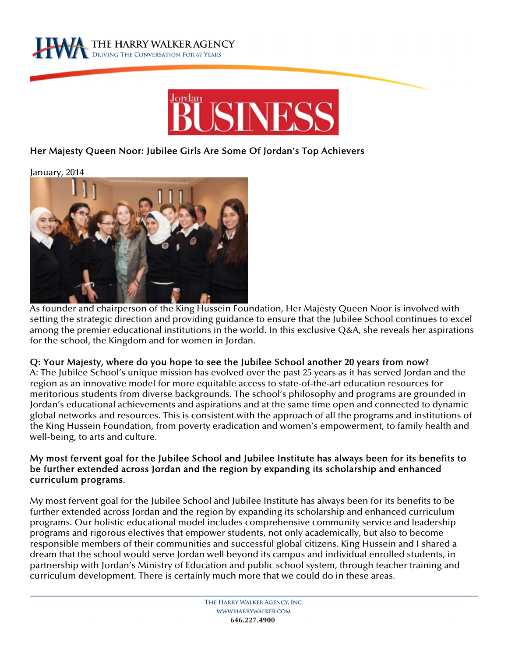



# Her Majesty Queen Noor: Jubilee Girls Are Some Of Jordan's Top Achievers

January, 2014



As founder and chairperson of the King Hussein Foundation, Her Majesty Queen Noor is involved with setting the strategic direction and providing guidance to ensure that the Jubilee School continues to excel among the premier educational institutions in the world. In this exclusive Q&A, she reveals her aspirations for the school, the Kingdom and for women in Jordan.

#### Q: Your Majesty, where do you hope to see the Jubilee School another 20 years from now?

A: The Jubilee School's unique mission has evolved over the past 25 years as it has served Jordan and the region as an innovative model for more equitable access to state-of-the-art education resources for meritorious students from diverse backgrounds. The school's philosophy and programs are grounded in Jordan's educational achievements and aspirations and at the same time open and connected to dynamic global networks and resources. This is consistent with the approach of all the programs and institutions of the King Hussein Foundation, from poverty eradication and women's empowerment, to family health and well-being, to arts and culture.

### My most fervent goal for the Jubilee School and Jubilee Institute has always been for its benefits to be further extended across Jordan and the region by expanding its scholarship and enhanced curriculum programs.

My most fervent goal for the Jubilee School and Jubilee Institute has always been for its benefits to be further extended across Jordan and the region by expanding its scholarship and enhanced curriculum programs. Our holistic educational model includes comprehensive community service and leadership programs and rigorous electives that empower students, not only academically, but also to become responsible members of their communities and successful global citizens. King Hussein and I shared a dream that the school would serve Jordan well beyond its campus and individual enrolled students, in partnership with Jordan's Ministry of Education and public school system, through teacher training and curriculum development. There is certainly much more that we could do in these areas.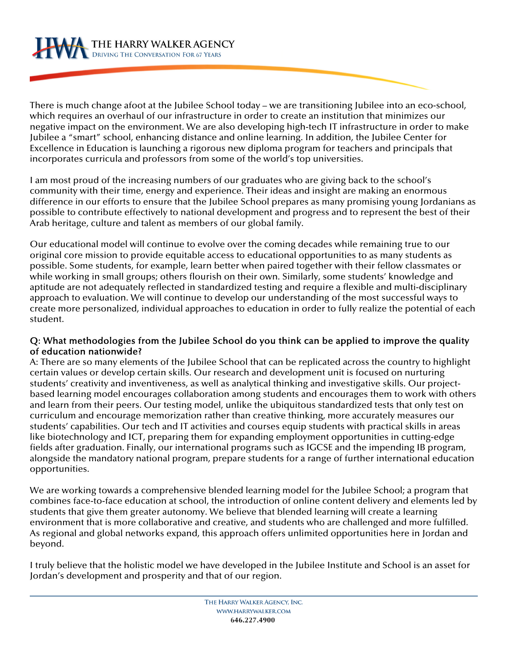There is much change afoot at the Jubilee School today – we are transitioning Jubilee into an eco-school, which requires an overhaul of our infrastructure in order to create an institution that minimizes our negative impact on the environment. We are also developing high-tech IT infrastructure in order to make Jubilee a "smart" school, enhancing distance and online learning. In addition, the Jubilee Center for Excellence in Education is launching a rigorous new diploma program for teachers and principals that incorporates curricula and professors from some of the world's top universities.

I am most proud of the increasing numbers of our graduates who are giving back to the school's community with their time, energy and experience. Their ideas and insight are making an enormous difference in our efforts to ensure that the Jubilee School prepares as many promising young Jordanians as possible to contribute effectively to national development and progress and to represent the best of their Arab heritage, culture and talent as members of our global family.

Our educational model will continue to evolve over the coming decades while remaining true to our original core mission to provide equitable access to educational opportunities to as many students as possible. Some students, for example, learn better when paired together with their fellow classmates or while working in small groups; others flourish on their own. Similarly, some students' knowledge and aptitude are not adequately reflected in standardized testing and require a flexible and multi-disciplinary approach to evaluation. We will continue to develop our understanding of the most successful ways to create more personalized, individual approaches to education in order to fully realize the potential of each student.

### Q: What methodologies from the Jubilee School do you think can be applied to improve the quality of education nationwide?

A: There are so many elements of the Jubilee School that can be replicated across the country to highlight certain values or develop certain skills. Our research and development unit is focused on nurturing students' creativity and inventiveness, as well as analytical thinking and investigative skills. Our projectbased learning model encourages collaboration among students and encourages them to work with others and learn from their peers. Our testing model, unlike the ubiquitous standardized tests that only test on curriculum and encourage memorization rather than creative thinking, more accurately measures our students' capabilities. Our tech and IT activities and courses equip students with practical skills in areas like biotechnology and ICT, preparing them for expanding employment opportunities in cutting-edge fields after graduation. Finally, our international programs such as IGCSE and the impending IB program, alongside the mandatory national program, prepare students for a range of further international education opportunities.

We are working towards a comprehensive blended learning model for the Jubilee School; a program that combines face-to-face education at school, the introduction of online content delivery and elements led by students that give them greater autonomy. We believe that blended learning will create a learning environment that is more collaborative and creative, and students who are challenged and more fulfilled. As regional and global networks expand, this approach offers unlimited opportunities here in Jordan and beyond.

I truly believe that the holistic model we have developed in the Jubilee Institute and School is an asset for Jordan's development and prosperity and that of our region.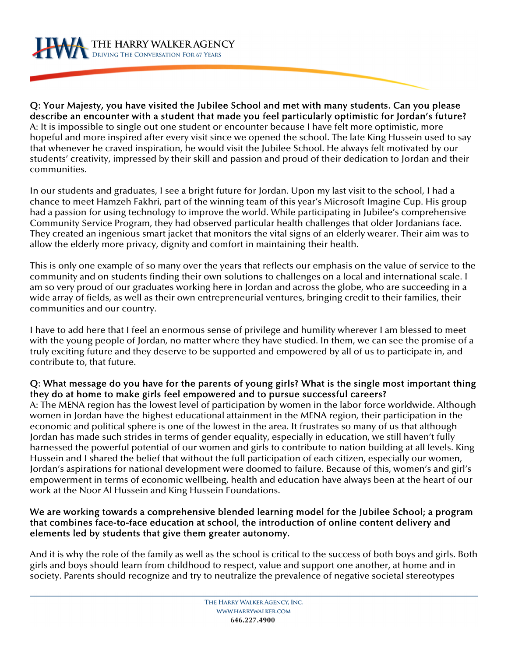THE HARRY WALKER AGENCY

Q: Your Majesty, you have visited the Jubilee School and met with many students. Can you please describe an encounter with a student that made you feel particularly optimistic for Jordan's future? A: It is impossible to single out one student or encounter because I have felt more optimistic, more hopeful and more inspired after every visit since we opened the school. The late King Hussein used to say that whenever he craved inspiration, he would visit the Jubilee School. He always felt motivated by our students' creativity, impressed by their skill and passion and proud of their dedication to Jordan and their communities.

In our students and graduates, I see a bright future for Jordan. Upon my last visit to the school, I had a chance to meet Hamzeh Fakhri, part of the winning team of this year's Microsoft Imagine Cup. His group had a passion for using technology to improve the world. While participating in Jubilee's comprehensive Community Service Program, they had observed particular health challenges that older Jordanians face. They created an ingenious smart jacket that monitors the vital signs of an elderly wearer. Their aim was to allow the elderly more privacy, dignity and comfort in maintaining their health.

This is only one example of so many over the years that reflects our emphasis on the value of service to the community and on students finding their own solutions to challenges on a local and international scale. I am so very proud of our graduates working here in Jordan and across the globe, who are succeeding in a wide array of fields, as well as their own entrepreneurial ventures, bringing credit to their families, their communities and our country.

I have to add here that I feel an enormous sense of privilege and humility wherever I am blessed to meet with the young people of Jordan, no matter where they have studied. In them, we can see the promise of a truly exciting future and they deserve to be supported and empowered by all of us to participate in, and contribute to, that future.

# Q: What message do you have for the parents of young girls? What is the single most important thing they do at home to make girls feel empowered and to pursue successful careers?

A: The MENA region has the lowest level of participation by women in the labor force worldwide. Although women in Jordan have the highest educational attainment in the MENA region, their participation in the economic and political sphere is one of the lowest in the area. It frustrates so many of us that although Jordan has made such strides in terms of gender equality, especially in education, we still haven't fully harnessed the powerful potential of our women and girls to contribute to nation building at all levels. King Hussein and I shared the belief that without the full participation of each citizen, especially our women, Jordan's aspirations for national development were doomed to failure. Because of this, women's and girl's empowerment in terms of economic wellbeing, health and education have always been at the heart of our work at the Noor Al Hussein and King Hussein Foundations.

### We are working towards a comprehensive blended learning model for the Jubilee School; a program that combines face-to-face education at school, the introduction of online content delivery and elements led by students that give them greater autonomy.

And it is why the role of the family as well as the school is critical to the success of both boys and girls. Both girls and boys should learn from childhood to respect, value and support one another, at home and in society. Parents should recognize and try to neutralize the prevalence of negative societal stereotypes